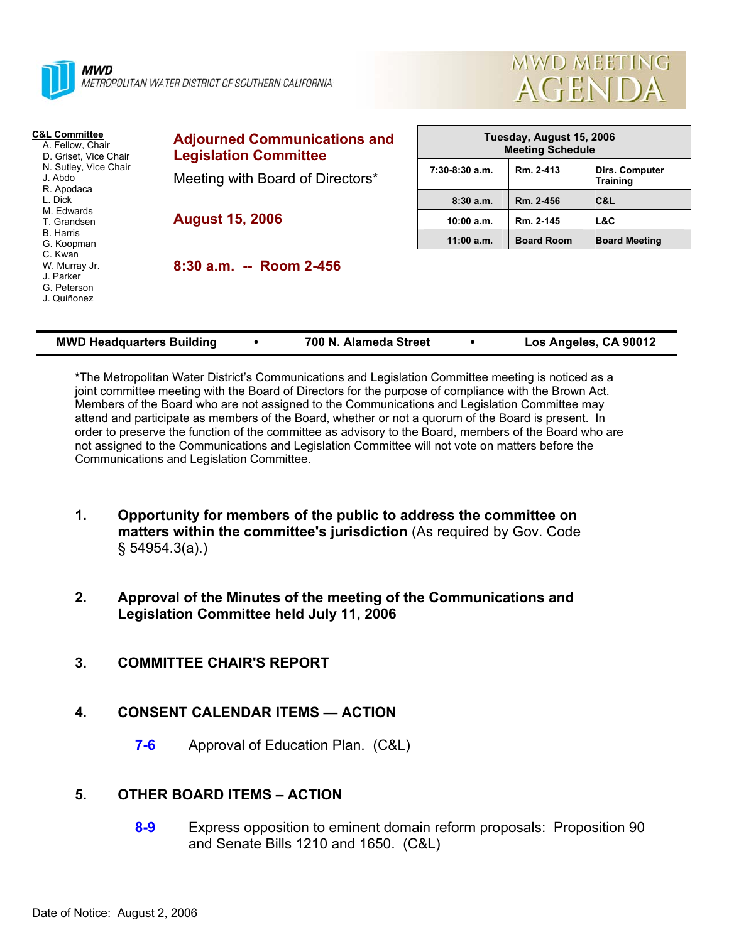

METROPOLITAN WATER DISTRICT OF SOUTHERN CALIFORNIA



| <b>C&amp;L Committee</b><br>A. Fellow, Chair<br>D. Griset, Vice Chair<br>N. Sutley, Vice Chair<br>J. Abdo<br>R. Apodaca | <b>Adjourned Communications and</b><br><b>Legislation Committee</b> | Tuesday, August 15, 2006<br><b>Meeting Schedule</b> |                   |                                   |
|-------------------------------------------------------------------------------------------------------------------------|---------------------------------------------------------------------|-----------------------------------------------------|-------------------|-----------------------------------|
|                                                                                                                         | Meeting with Board of Directors*                                    | $7:30-8:30$ a.m.                                    | Rm. 2-413         | Dirs. Computer<br><b>Training</b> |
| L. Dick<br>M. Edwards<br>T. Grandsen                                                                                    | <b>August 15, 2006</b>                                              | 8:30a.m.                                            | Rm. 2-456         | C&L                               |
|                                                                                                                         |                                                                     | 10:00 a.m.                                          | Rm. 2-145         | L&C                               |
| B. Harris<br>G. Koopman                                                                                                 |                                                                     | $11:00$ a.m.                                        | <b>Board Room</b> | <b>Board Meeting</b>              |
| C. Kwan<br>W. Murray Jr.<br>J. Parker<br>G. Peterson<br>J. Quiñonez                                                     | $8:30$ a.m. $-$ Room 2-456                                          |                                                     |                   |                                   |

| <b>MWD Headquarters Building</b> | 700 N. Alameda Street | Los Angeles, CA 90012 |
|----------------------------------|-----------------------|-----------------------|
|----------------------------------|-----------------------|-----------------------|

**\***The Metropolitan Water District's Communications and Legislation Committee meeting is noticed as a joint committee meeting with the Board of Directors for the purpose of compliance with the Brown Act. Members of the Board who are not assigned to the Communications and Legislation Committee may attend and participate as members of the Board, whether or not a quorum of the Board is present. In order to preserve the function of the committee as advisory to the Board, members of the Board who are not assigned to the Communications and Legislation Committee will not vote on matters before the Communications and Legislation Committee.

- **1. Opportunity for members of the public to address the committee on matters within the committee's jurisdiction** (As required by Gov. Code § 54954.3(a).)
- **2. Approval of the Minutes of the meeting of the Communications and Legislation Committee held July 11, 2006**
- **3. COMMITTEE CHAIR'S REPORT**
- **4. CONSENT CALENDAR ITEMS ACTION** 
	- **7-6** Approval of Education Plan. (C&L)

# **5. OTHER BOARD ITEMS – ACTION**

**8-9** Express opposition to eminent domain reform proposals: Proposition 90 and Senate Bills 1210 and 1650. (C&L)